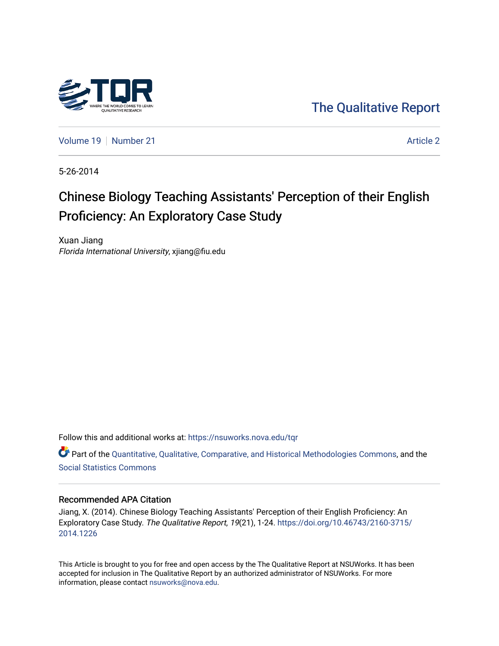

[The Qualitative Report](https://nsuworks.nova.edu/tqr) 

[Volume 19](https://nsuworks.nova.edu/tqr/vol19) [Number 21](https://nsuworks.nova.edu/tqr/vol19/iss21) Article 2

5-26-2014

# Chinese Biology Teaching Assistants' Perception of their English Proficiency: An Exploratory Case Study

Xuan Jiang Florida International University, xjiang@fiu.edu

Follow this and additional works at: [https://nsuworks.nova.edu/tqr](https://nsuworks.nova.edu/tqr?utm_source=nsuworks.nova.edu%2Ftqr%2Fvol19%2Fiss21%2F2&utm_medium=PDF&utm_campaign=PDFCoverPages) 

Part of the [Quantitative, Qualitative, Comparative, and Historical Methodologies Commons,](http://network.bepress.com/hgg/discipline/423?utm_source=nsuworks.nova.edu%2Ftqr%2Fvol19%2Fiss21%2F2&utm_medium=PDF&utm_campaign=PDFCoverPages) and the [Social Statistics Commons](http://network.bepress.com/hgg/discipline/1275?utm_source=nsuworks.nova.edu%2Ftqr%2Fvol19%2Fiss21%2F2&utm_medium=PDF&utm_campaign=PDFCoverPages) 

# Recommended APA Citation

Jiang, X. (2014). Chinese Biology Teaching Assistants' Perception of their English Proficiency: An Exploratory Case Study. The Qualitative Report, 19(21), 1-24. [https://doi.org/10.46743/2160-3715/](https://doi.org/10.46743/2160-3715/2014.1226) [2014.1226](https://doi.org/10.46743/2160-3715/2014.1226) 

This Article is brought to you for free and open access by the The Qualitative Report at NSUWorks. It has been accepted for inclusion in The Qualitative Report by an authorized administrator of NSUWorks. For more information, please contact [nsuworks@nova.edu.](mailto:nsuworks@nova.edu)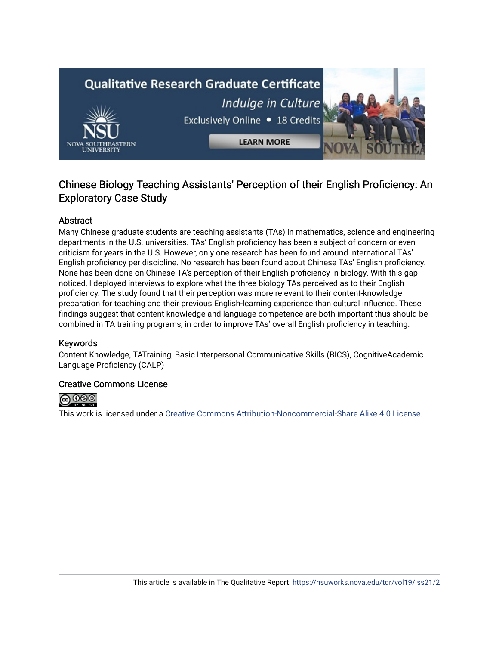# **Qualitative Research Graduate Certificate** Indulge in Culture Exclusively Online . 18 Credits **LEARN MORE**

# Chinese Biology Teaching Assistants' Perception of their English Proficiency: An Exploratory Case Study

# Abstract

Many Chinese graduate students are teaching assistants (TAs) in mathematics, science and engineering departments in the U.S. universities. TAs' English proficiency has been a subject of concern or even criticism for years in the U.S. However, only one research has been found around international TAs' English proficiency per discipline. No research has been found about Chinese TAs' English proficiency. None has been done on Chinese TA's perception of their English proficiency in biology. With this gap noticed, I deployed interviews to explore what the three biology TAs perceived as to their English proficiency. The study found that their perception was more relevant to their content-knowledge preparation for teaching and their previous English-learning experience than cultural influence. These findings suggest that content knowledge and language competence are both important thus should be combined in TA training programs, in order to improve TAs' overall English proficiency in teaching.

# Keywords

Content Knowledge, TATraining, Basic Interpersonal Communicative Skills (BICS), CognitiveAcademic Language Proficiency (CALP)

# Creative Commons License



This work is licensed under a [Creative Commons Attribution-Noncommercial-Share Alike 4.0 License](https://creativecommons.org/licenses/by-nc-sa/4.0/).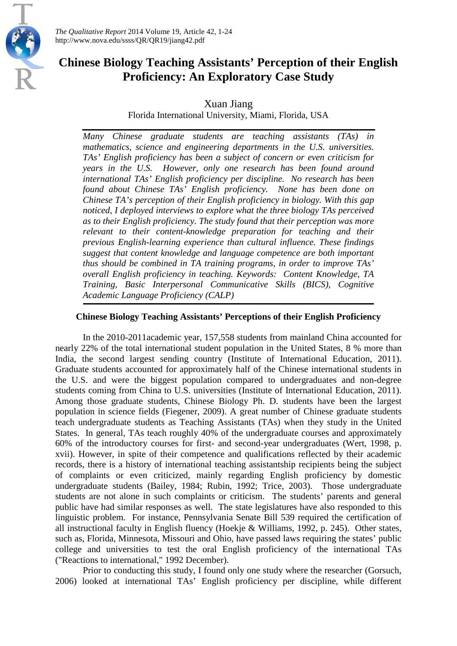

*The Qualitative Report* 2014 Volume 19, Article 42, 1-24 http://www.nova.edu/ssss/QR/QR19/jiang42.pdf

# **Chinese Biology Teaching Assistants' Perception of their English Proficiency: An Exploratory Case Study**

Xuan Jiang

Florida International University, Miami, Florida, USA

*Many Chinese graduate students are teaching assistants (TAs) in mathematics, science and engineering departments in the U.S. universities. TAs' English proficiency has been a subject of concern or even criticism for years in the U.S. However, only one research has been found around international TAs' English proficiency per discipline. No research has been found about Chinese TAs' English proficiency. None has been done on Chinese TA's perception of their English proficiency in biology. With this gap noticed, I deployed interviews to explore what the three biology TAs perceived as to their English proficiency. The study found that their perception was more relevant to their content-knowledge preparation for teaching and their previous English-learning experience than cultural influence. These findings suggest that content knowledge and language competence are both important thus should be combined in TA training programs, in order to improve TAs' overall English proficiency in teaching. Keywords: Content Knowledge, TA Training, Basic Interpersonal Communicative Skills (BICS), Cognitive Academic Language Proficiency (CALP)*

# **Chinese Biology Teaching Assistants' Perceptions of their English Proficiency**

In the 2010-2011academic year, 157,558 students from mainland China accounted for nearly 22% of the total international student population in the United States, 8 % more than India, the second largest sending country (Institute of International Education, 2011). Graduate students accounted for approximately half of the Chinese international students in the U.S. and were the biggest population compared to undergraduates and non-degree students coming from China to U.S. universities (Institute of International Education, 2011). Among those graduate students, Chinese Biology Ph. D. students have been the largest population in science fields (Fiegener, 2009). A great number of Chinese graduate students teach undergraduate students as Teaching Assistants (TAs) when they study in the United States. In general, TAs teach roughly 40% of the undergraduate courses and approximately 60% of the introductory courses for first- and second-year undergraduates (Wert, 1998, p. xvii). However, in spite of their competence and qualifications reflected by their academic records, there is a history of international teaching assistantship recipients being the subject of complaints or even criticized, mainly regarding English proficiency by domestic undergraduate students (Bailey, 1984; Rubin, 1992; Trice, 2003). Those undergraduate students are not alone in such complaints or criticism. The students' parents and general public have had similar responses as well. The state legislatures have also responded to this linguistic problem. For instance, Pennsylvania Senate Bill 539 required the certification of all instructional faculty in English fluency (Hoekje & Williams, 1992, p. 245). Other states, such as, Florida, Minnesota, Missouri and Ohio, have passed laws requiring the states' public college and universities to test the oral English proficiency of the international TAs ("Reactions to international," 1992 December).

Prior to conducting this study, I found only one study where the researcher (Gorsuch, 2006) looked at international TAs' English proficiency per discipline, while different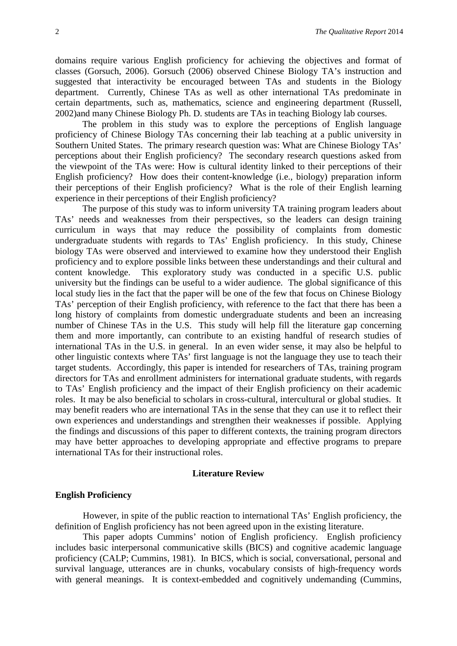domains require various English proficiency for achieving the objectives and format of classes (Gorsuch, 2006). Gorsuch (2006) observed Chinese Biology TA's instruction and suggested that interactivity be encouraged between TAs and students in the Biology department. Currently, Chinese TAs as well as other international TAs predominate in certain departments, such as, mathematics, science and engineering department (Russell, 2002)and many Chinese Biology Ph. D. students are TAs in teaching Biology lab courses.

The problem in this study was to explore the perceptions of English language proficiency of Chinese Biology TAs concerning their lab teaching at a public university in Southern United States. The primary research question was: What are Chinese Biology TAs' perceptions about their English proficiency? The secondary research questions asked from the viewpoint of the TAs were: How is cultural identity linked to their perceptions of their English proficiency? How does their content-knowledge (i.e., biology) preparation inform their perceptions of their English proficiency? What is the role of their English learning experience in their perceptions of their English proficiency?

The purpose of this study was to inform university TA training program leaders about TAs' needs and weaknesses from their perspectives, so the leaders can design training curriculum in ways that may reduce the possibility of complaints from domestic undergraduate students with regards to TAs' English proficiency. In this study, Chinese biology TAs were observed and interviewed to examine how they understood their English proficiency and to explore possible links between these understandings and their cultural and content knowledge. This exploratory study was conducted in a specific U.S. public university but the findings can be useful to a wider audience. The global significance of this local study lies in the fact that the paper will be one of the few that focus on Chinese Biology TAs' perception of their English proficiency, with reference to the fact that there has been a long history of complaints from domestic undergraduate students and been an increasing number of Chinese TAs in the U.S. This study will help fill the literature gap concerning them and more importantly, can contribute to an existing handful of research studies of international TAs in the U.S. in general. In an even wider sense, it may also be helpful to other linguistic contexts where TAs' first language is not the language they use to teach their target students. Accordingly, this paper is intended for researchers of TAs, training program directors for TAs and enrollment administers for international graduate students, with regards to TAs' English proficiency and the impact of their English proficiency on their academic roles. It may be also beneficial to scholars in cross-cultural, intercultural or global studies. It may benefit readers who are international TAs in the sense that they can use it to reflect their own experiences and understandings and strengthen their weaknesses if possible. Applying the findings and discussions of this paper to different contexts, the training program directors may have better approaches to developing appropriate and effective programs to prepare international TAs for their instructional roles.

# **Literature Review**

# **English Proficiency**

However, in spite of the public reaction to international TAs' English proficiency, the definition of English proficiency has not been agreed upon in the existing literature.

This paper adopts Cummins' notion of English proficiency. English proficiency includes basic interpersonal communicative skills (BICS) and cognitive academic language proficiency (CALP; Cummins, 1981). In BICS, which is social, conversational, personal and survival language, utterances are in chunks, vocabulary consists of high-frequency words with general meanings. It is context-embedded and cognitively undemanding (Cummins,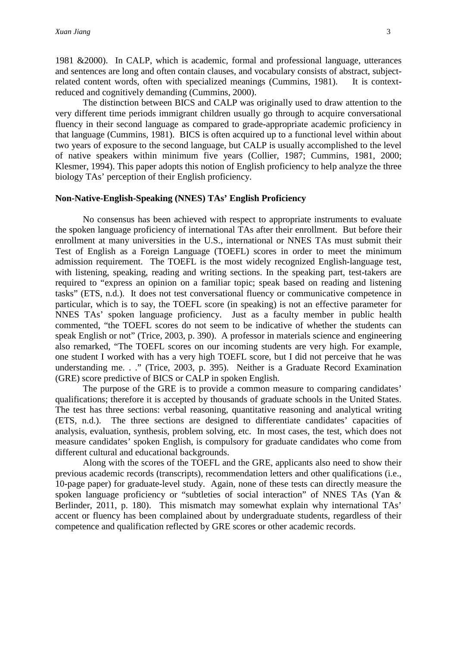1981 &2000). In CALP, which is academic, formal and professional language, utterances and sentences are long and often contain clauses, and vocabulary consists of abstract, subjectrelated content words, often with specialized meanings (Cummins, 1981). It is contextreduced and cognitively demanding (Cummins, 2000).

The distinction between BICS and CALP was originally used to draw attention to the very different time periods immigrant children usually go through to acquire conversational fluency in their second language as compared to grade-appropriate academic proficiency in that language (Cummins, 1981). BICS is often acquired up to a functional level within about two years of exposure to the second language, but CALP is usually accomplished to the level of native speakers within minimum five years (Collier, 1987; Cummins, 1981, 2000; Klesmer, 1994). This paper adopts this notion of English proficiency to help analyze the three biology TAs' perception of their English proficiency.

# **Non-Native-English-Speaking (NNES) TAs' English Proficiency**

No consensus has been achieved with respect to appropriate instruments to evaluate the spoken language proficiency of international TAs after their enrollment. But before their enrollment at many universities in the U.S., international or NNES TAs must submit their Test of English as a Foreign Language (TOEFL) scores in order to meet the minimum admission requirement. The TOEFL is the most widely recognized English-language test, with listening, speaking, reading and writing sections. In the speaking part, test-takers are required to "express an opinion on a familiar topic; speak based on reading and listening tasks" (ETS, n.d.). It does not test conversational fluency or communicative competence in particular, which is to say, the TOEFL score (in speaking) is not an effective parameter for NNES TAs' spoken language proficiency. Just as a faculty member in public health commented, "the TOEFL scores do not seem to be indicative of whether the students can speak English or not" (Trice, 2003, p. 390). A professor in materials science and engineering also remarked, "The TOEFL scores on our incoming students are very high. For example, one student I worked with has a very high TOEFL score, but I did not perceive that he was understanding me. . ." (Trice, 2003, p. 395). Neither is a Graduate Record Examination (GRE) score predictive of BICS or CALP in spoken English.

The purpose of the GRE is to provide a common measure to comparing candidates' qualifications; therefore it is accepted by thousands of graduate schools in the United States. The test has three sections: verbal reasoning, quantitative reasoning and analytical writing (ETS, n.d.). The three sections are designed to differentiate candidates' capacities of analysis, evaluation, synthesis, problem solving, etc. In most cases, the test, which does not measure candidates' spoken English, is compulsory for graduate candidates who come from different cultural and educational backgrounds.

Along with the scores of the TOEFL and the GRE, applicants also need to show their previous academic records (transcripts), recommendation letters and other qualifications (i.e., 10-page paper) for graduate-level study. Again, none of these tests can directly measure the spoken language proficiency or "subtleties of social interaction" of NNES TAs (Yan & Berlinder, 2011, p. 180). This mismatch may somewhat explain why international TAs' accent or fluency has been complained about by undergraduate students, regardless of their competence and qualification reflected by GRE scores or other academic records.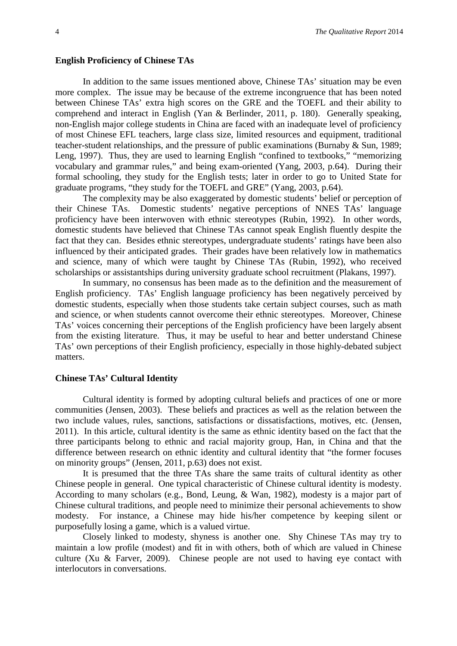#### **English Proficiency of Chinese TAs**

In addition to the same issues mentioned above, Chinese TAs' situation may be even more complex. The issue may be because of the extreme incongruence that has been noted between Chinese TAs' extra high scores on the GRE and the TOEFL and their ability to comprehend and interact in English (Yan & Berlinder, 2011, p. 180). Generally speaking, non-English major college students in China are faced with an inadequate level of proficiency of most Chinese EFL teachers, large class size, limited resources and equipment, traditional teacher-student relationships, and the pressure of public examinations (Burnaby & Sun, 1989; Leng, 1997). Thus, they are used to learning English "confined to textbooks," "memorizing vocabulary and grammar rules," and being exam-oriented (Yang, 2003, p.64). During their formal schooling, they study for the English tests; later in order to go to United State for graduate programs, "they study for the TOEFL and GRE" (Yang, 2003, p.64).

The complexity may be also exaggerated by domestic students' belief or perception of their Chinese TAs. Domestic students' negative perceptions of NNES TAs' language proficiency have been interwoven with ethnic stereotypes (Rubin, 1992). In other words, domestic students have believed that Chinese TAs cannot speak English fluently despite the fact that they can. Besides ethnic stereotypes, undergraduate students' ratings have been also influenced by their anticipated grades. Their grades have been relatively low in mathematics and science, many of which were taught by Chinese TAs (Rubin, 1992), who received scholarships or assistantships during university graduate school recruitment (Plakans, 1997).

In summary, no consensus has been made as to the definition and the measurement of English proficiency. TAs' English language proficiency has been negatively perceived by domestic students, especially when those students take certain subject courses, such as math and science, or when students cannot overcome their ethnic stereotypes. Moreover, Chinese TAs' voices concerning their perceptions of the English proficiency have been largely absent from the existing literature. Thus, it may be useful to hear and better understand Chinese TAs' own perceptions of their English proficiency, especially in those highly-debated subject matters.

#### **Chinese TAs' Cultural Identity**

Cultural identity is formed by adopting cultural beliefs and practices of one or more communities (Jensen, 2003). These beliefs and practices as well as the relation between the two include values, rules, sanctions, satisfactions or dissatisfactions, motives, etc. (Jensen, 2011). In this article, cultural identity is the same as ethnic identity based on the fact that the three participants belong to ethnic and racial majority group, Han, in China and that the difference between research on ethnic identity and cultural identity that "the former focuses on minority groups" (Jensen, 2011, p.63) does not exist.

It is presumed that the three TAs share the same traits of cultural identity as other Chinese people in general. One typical characteristic of Chinese cultural identity is modesty. According to many scholars (e.g., Bond, Leung, & Wan, 1982), modesty is a major part of Chinese cultural traditions, and people need to minimize their personal achievements to show modesty. For instance, a Chinese may hide his/her competence by keeping silent or purposefully losing a game, which is a valued virtue.

Closely linked to modesty, shyness is another one. Shy Chinese TAs may try to maintain a low profile (modest) and fit in with others, both of which are valued in Chinese culture (Xu & Farver, 2009). Chinese people are not used to having eye contact with interlocutors in conversations.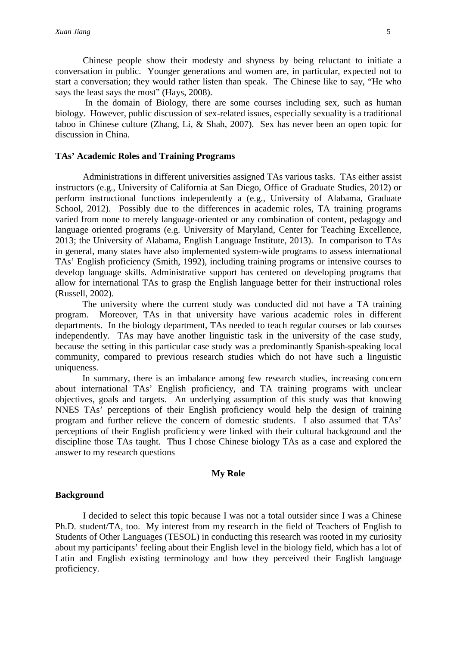Chinese people show their modesty and shyness by being reluctant to initiate a conversation in public. Younger generations and women are, in particular, expected not to start a conversation; they would rather listen than speak. The Chinese like to say, "He who says the least says the most" (Hays, 2008).

In the domain of Biology, there are some courses including sex, such as human biology. However, public discussion of sex-related issues, especially sexuality is a traditional taboo in Chinese culture (Zhang, Li, & Shah, 2007). Sex has never been an open topic for discussion in China.

# **TAs' Academic Roles and Training Programs**

Administrations in different universities assigned TAs various tasks. TAs either assist instructors (e.g., University of California at San Diego, Office of Graduate Studies, 2012) or perform instructional functions independently a (e.g., University of Alabama, Graduate School, 2012). Possibly due to the differences in academic roles, TA training programs varied from none to merely language-oriented or any combination of content, pedagogy and language oriented programs (e.g. University of Maryland, Center for Teaching Excellence, 2013; the University of Alabama, English Language Institute, 2013). In comparison to TAs in general, many states have also implemented system-wide programs to assess international TAs' English proficiency (Smith, 1992), including training programs or intensive courses to develop language skills. Administrative support has centered on developing programs that allow for international TAs to grasp the English language better for their instructional roles (Russell, 2002).

The university where the current study was conducted did not have a TA training program. Moreover, TAs in that university have various academic roles in different departments. In the biology department, TAs needed to teach regular courses or lab courses independently. TAs may have another linguistic task in the university of the case study, because the setting in this particular case study was a predominantly Spanish-speaking local community, compared to previous research studies which do not have such a linguistic uniqueness.

In summary, there is an imbalance among few research studies, increasing concern about international TAs' English proficiency, and TA training programs with unclear objectives, goals and targets. An underlying assumption of this study was that knowing NNES TAs' perceptions of their English proficiency would help the design of training program and further relieve the concern of domestic students. I also assumed that TAs' perceptions of their English proficiency were linked with their cultural background and the discipline those TAs taught. Thus I chose Chinese biology TAs as a case and explored the answer to my research questions

# **My Role**

# **Background**

I decided to select this topic because I was not a total outsider since I was a Chinese Ph.D. student/TA, too. My interest from my research in the field of Teachers of English to Students of Other Languages (TESOL) in conducting this research was rooted in my curiosity about my participants' feeling about their English level in the biology field, which has a lot of Latin and English existing terminology and how they perceived their English language proficiency.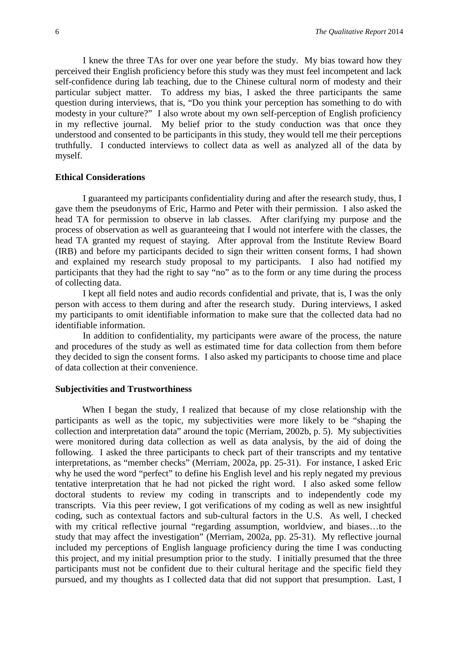I knew the three TAs for over one year before the study. My bias toward how they perceived their English proficiency before this study was they must feel incompetent and lack self-confidence during lab teaching, due to the Chinese cultural norm of modesty and their particular subject matter. To address my bias, I asked the three participants the same question during interviews, that is, "Do you think your perception has something to do with modesty in your culture?" I also wrote about my own self-perception of English proficiency in my reflective journal. My belief prior to the study conduction was that once they understood and consented to be participants in this study, they would tell me their perceptions truthfully. I conducted interviews to collect data as well as analyzed all of the data by myself.

#### **Ethical Considerations**

I guaranteed my participants confidentiality during and after the research study, thus, I gave them the pseudonyms of Eric, Harmo and Peter with their permission. I also asked the head TA for permission to observe in lab classes. After clarifying my purpose and the process of observation as well as guaranteeing that I would not interfere with the classes, the head TA granted my request of staying. After approval from the Institute Review Board (IRB) and before my participants decided to sign their written consent forms, I had shown and explained my research study proposal to my participants. I also had notified my participants that they had the right to say "no" as to the form or any time during the process of collecting data.

I kept all field notes and audio records confidential and private, that is, I was the only person with access to them during and after the research study. During interviews, I asked my participants to omit identifiable information to make sure that the collected data had no identifiable information.

In addition to confidentiality, my participants were aware of the process, the nature and procedures of the study as well as estimated time for data collection from them before they decided to sign the consent forms. I also asked my participants to choose time and place of data collection at their convenience.

# **Subjectivities and Trustworthiness**

When I began the study, I realized that because of my close relationship with the participants as well as the topic, my subjectivities were more likely to be "shaping the collection and interpretation data" around the topic (Merriam, 2002b, p. 5). My subjectivities were monitored during data collection as well as data analysis, by the aid of doing the following. I asked the three participants to check part of their transcripts and my tentative interpretations, as "member checks" (Merriam, 2002a, pp. 25-31). For instance, I asked Eric why he used the word "perfect" to define his English level and his reply negated my previous tentative interpretation that he had not picked the right word. I also asked some fellow doctoral students to review my coding in transcripts and to independently code my transcripts. Via this peer review, I got verifications of my coding as well as new insightful coding, such as contextual factors and sub-cultural factors in the U.S. As well, I checked with my critical reflective journal "regarding assumption, worldview, and biases…to the study that may affect the investigation" (Merriam, 2002a, pp. 25-31). My reflective journal included my perceptions of English language proficiency during the time I was conducting this project, and my initial presumption prior to the study. I initially presumed that the three participants must not be confident due to their cultural heritage and the specific field they pursued, and my thoughts as I collected data that did not support that presumption. Last, I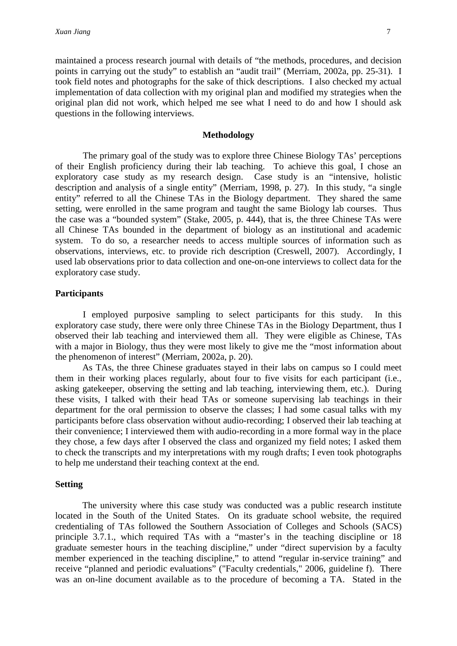maintained a process research journal with details of "the methods, procedures, and decision points in carrying out the study" to establish an "audit trail" (Merriam, 2002a, pp. 25-31). I took field notes and photographs for the sake of thick descriptions. I also checked my actual implementation of data collection with my original plan and modified my strategies when the original plan did not work, which helped me see what I need to do and how I should ask questions in the following interviews.

#### **Methodology**

The primary goal of the study was to explore three Chinese Biology TAs' perceptions of their English proficiency during their lab teaching. To achieve this goal, I chose an exploratory case study as my research design. Case study is an "intensive, holistic description and analysis of a single entity" (Merriam, 1998, p. 27). In this study, "a single entity" referred to all the Chinese TAs in the Biology department. They shared the same setting, were enrolled in the same program and taught the same Biology lab courses. Thus the case was a "bounded system" (Stake, 2005, p. 444), that is, the three Chinese TAs were all Chinese TAs bounded in the department of biology as an institutional and academic system. To do so, a researcher needs to access multiple sources of information such as observations, interviews, etc. to provide rich description (Creswell, 2007). Accordingly, I used lab observations prior to data collection and one-on-one interviews to collect data for the exploratory case study.

# **Participants**

I employed purposive sampling to select participants for this study. In this exploratory case study, there were only three Chinese TAs in the Biology Department, thus I observed their lab teaching and interviewed them all. They were eligible as Chinese, TAs with a major in Biology, thus they were most likely to give me the "most information about the phenomenon of interest" (Merriam, 2002a, p. 20).

As TAs, the three Chinese graduates stayed in their labs on campus so I could meet them in their working places regularly, about four to five visits for each participant (i.e., asking gatekeeper, observing the setting and lab teaching, interviewing them, etc.). During these visits, I talked with their head TAs or someone supervising lab teachings in their department for the oral permission to observe the classes; I had some casual talks with my participants before class observation without audio-recording; I observed their lab teaching at their convenience; I interviewed them with audio-recording in a more formal way in the place they chose, a few days after I observed the class and organized my field notes; I asked them to check the transcripts and my interpretations with my rough drafts; I even took photographs to help me understand their teaching context at the end.

#### **Setting**

The university where this case study was conducted was a public research institute located in the South of the United States. On its graduate school website, the required credentialing of TAs followed the Southern Association of Colleges and Schools (SACS) principle 3.7.1., which required TAs with a "master's in the teaching discipline or 18 graduate semester hours in the teaching discipline," under "direct supervision by a faculty member experienced in the teaching discipline," to attend "regular in-service training" and receive "planned and periodic evaluations" ("Faculty credentials," 2006, guideline f). There was an on-line document available as to the procedure of becoming a TA. Stated in the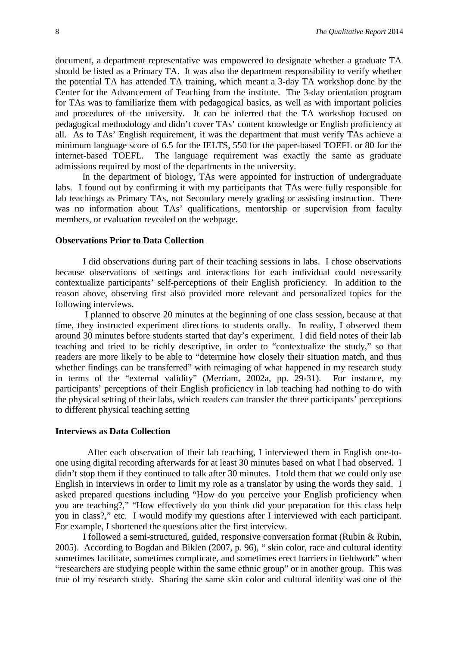document, a department representative was empowered to designate whether a graduate TA should be listed as a Primary TA. It was also the department responsibility to verify whether the potential TA has attended TA training, which meant a 3-day TA workshop done by the Center for the Advancement of Teaching from the institute. The 3-day orientation program for TAs was to familiarize them with pedagogical basics, as well as with important policies and procedures of the university. It can be inferred that the TA workshop focused on pedagogical methodology and didn't cover TAs' content knowledge or English proficiency at all. As to TAs' English requirement, it was the department that must verify TAs achieve a minimum language score of 6.5 for the IELTS, 550 for the paper-based TOEFL or 80 for the internet-based TOEFL. The language requirement was exactly the same as graduate admissions required by most of the departments in the university.

In the department of biology, TAs were appointed for instruction of undergraduate labs. I found out by confirming it with my participants that TAs were fully responsible for lab teachings as Primary TAs, not Secondary merely grading or assisting instruction. There was no information about TAs' qualifications, mentorship or supervision from faculty members, or evaluation revealed on the webpage.

## **Observations Prior to Data Collection**

I did observations during part of their teaching sessions in labs. I chose observations because observations of settings and interactions for each individual could necessarily contextualize participants' self-perceptions of their English proficiency. In addition to the reason above, observing first also provided more relevant and personalized topics for the following interviews.

I planned to observe 20 minutes at the beginning of one class session, because at that time, they instructed experiment directions to students orally. In reality, I observed them around 30 minutes before students started that day's experiment. I did field notes of their lab teaching and tried to be richly descriptive, in order to "contextualize the study," so that readers are more likely to be able to "determine how closely their situation match, and thus whether findings can be transferred" with reimaging of what happened in my research study in terms of the "external validity" (Merriam, 2002a, pp. 29-31). For instance, my participants' perceptions of their English proficiency in lab teaching had nothing to do with the physical setting of their labs, which readers can transfer the three participants' perceptions to different physical teaching setting

#### **Interviews as Data Collection**

After each observation of their lab teaching, I interviewed them in English one-toone using digital recording afterwards for at least 30 minutes based on what I had observed. I didn't stop them if they continued to talk after 30 minutes. I told them that we could only use English in interviews in order to limit my role as a translator by using the words they said. I asked prepared questions including "How do you perceive your English proficiency when you are teaching?," "How effectively do you think did your preparation for this class help you in class?," etc. I would modify my questions after I interviewed with each participant. For example, I shortened the questions after the first interview.

I followed a semi-structured, guided, responsive conversation format (Rubin & Rubin, 2005). According to Bogdan and Biklen (2007, p. 96), " skin color, race and cultural identity sometimes facilitate, sometimes complicate, and sometimes erect barriers in fieldwork" when "researchers are studying people within the same ethnic group" or in another group. This was true of my research study. Sharing the same skin color and cultural identity was one of the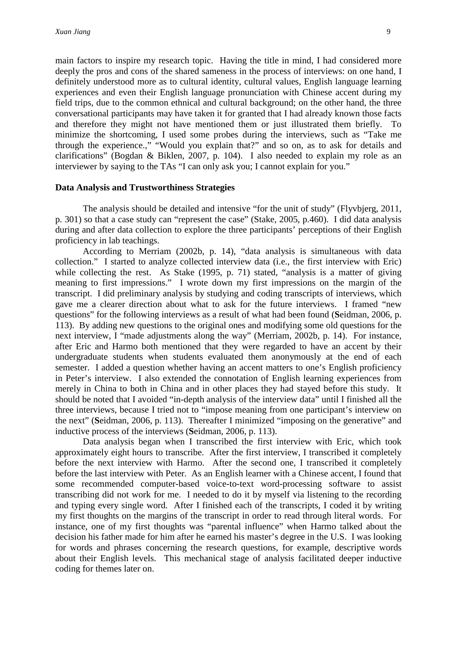main factors to inspire my research topic. Having the title in mind, I had considered more deeply the pros and cons of the shared sameness in the process of interviews: on one hand, I definitely understood more as to cultural identity, cultural values, English language learning experiences and even their English language pronunciation with Chinese accent during my field trips, due to the common ethnical and cultural background; on the other hand, the three conversational participants may have taken it for granted that I had already known those facts and therefore they might not have mentioned them or just illustrated them briefly. To minimize the shortcoming, I used some probes during the interviews, such as "Take me through the experience.," "Would you explain that?" and so on, as to ask for details and clarifications" (Bogdan & Biklen, 2007, p. 104). I also needed to explain my role as an interviewer by saying to the TAs "I can only ask you; I cannot explain for you."

#### **Data Analysis and Trustworthiness Strategies**

The analysis should be detailed and intensive "for the unit of study" (Flyvbjerg, 2011, p. 301) so that a case study can "represent the case" (Stake, 2005, p.460). I did data analysis during and after data collection to explore the three participants' perceptions of their English proficiency in lab teachings.

According to Merriam (2002b, p. 14), "data analysis is simultaneous with data collection." I started to analyze collected interview data (i.e., the first interview with Eric) while collecting the rest. As Stake (1995, p. 71) stated, "analysis is a matter of giving meaning to first impressions." I wrote down my first impressions on the margin of the transcript. I did preliminary analysis by studying and coding transcripts of interviews, which gave me a clearer direction about what to ask for the future interviews. I framed "new questions" for the following interviews as a result of what had been found (**S**eidman, 2006, p. 113). By adding new questions to the original ones and modifying some old questions for the next interview, I "made adjustments along the way" (Merriam, 2002b, p. 14). For instance, after Eric and Harmo both mentioned that they were regarded to have an accent by their undergraduate students when students evaluated them anonymously at the end of each semester. I added a question whether having an accent matters to one's English proficiency in Peter's interview. I also extended the connotation of English learning experiences from merely in China to both in China and in other places they had stayed before this study. It should be noted that I avoided "in-depth analysis of the interview data" until I finished all the three interviews, because I tried not to "impose meaning from one participant's interview on the next" (**S**eidman, 2006, p. 113). Thereafter I minimized "imposing on the generative" and inductive process of the interviews (**S**eidman, 2006, p. 113).

Data analysis began when I transcribed the first interview with Eric, which took approximately eight hours to transcribe. After the first interview, I transcribed it completely before the next interview with Harmo. After the second one, I transcribed it completely before the last interview with Peter. As an English learner with a Chinese accent, I found that some recommended computer-based voice-to-text word-processing software to assist transcribing did not work for me. I needed to do it by myself via listening to the recording and typing every single word. After I finished each of the transcripts, I coded it by writing my first thoughts on the margins of the transcript in order to read through literal words. For instance, one of my first thoughts was "parental influence" when Harmo talked about the decision his father made for him after he earned his master's degree in the U.S. I was looking for words and phrases concerning the research questions, for example, descriptive words about their English levels. This mechanical stage of analysis facilitated deeper inductive coding for themes later on.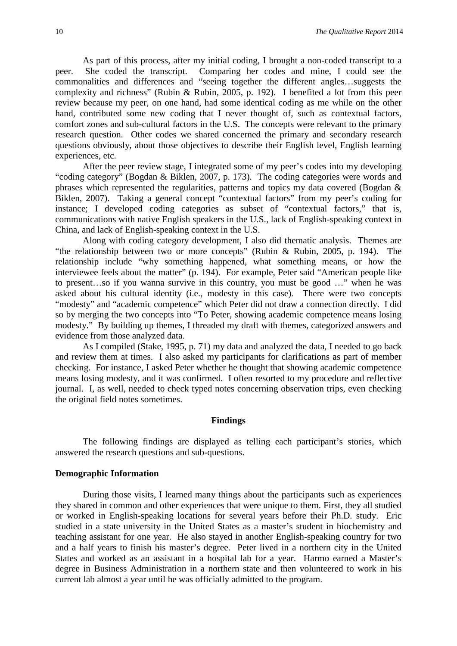As part of this process, after my initial coding, I brought a non-coded transcript to a peer. She coded the transcript. Comparing her codes and mine, I could see the commonalities and differences and "seeing together the different angles…suggests the complexity and richness" (Rubin & Rubin, 2005, p. 192). I benefited a lot from this peer review because my peer, on one hand, had some identical coding as me while on the other hand, contributed some new coding that I never thought of, such as contextual factors, comfort zones and sub-cultural factors in the U.S. The concepts were relevant to the primary research question. Other codes we shared concerned the primary and secondary research questions obviously, about those objectives to describe their English level, English learning experiences, etc.

After the peer review stage, I integrated some of my peer's codes into my developing "coding category" (Bogdan & Biklen, 2007, p. 173). The coding categories were words and phrases which represented the regularities, patterns and topics my data covered (Bogdan & Biklen, 2007). Taking a general concept "contextual factors" from my peer's coding for instance; I developed coding categories as subset of "contextual factors," that is, communications with native English speakers in the U.S., lack of English-speaking context in China, and lack of English-speaking context in the U.S.

Along with coding category development, I also did thematic analysis. Themes are "the relationship between two or more concepts" (Rubin & Rubin, 2005, p. 194). The relationship include "why something happened, what something means, or how the interviewee feels about the matter" (p. 194). For example, Peter said "American people like to present…so if you wanna survive in this country, you must be good …" when he was asked about his cultural identity (i.e., modesty in this case). There were two concepts "modesty" and "academic competence" which Peter did not draw a connection directly. I did so by merging the two concepts into "To Peter, showing academic competence means losing modesty." By building up themes, I threaded my draft with themes, categorized answers and evidence from those analyzed data.

As I compiled (Stake, 1995, p. 71) my data and analyzed the data, I needed to go back and review them at times. I also asked my participants for clarifications as part of member checking. For instance, I asked Peter whether he thought that showing academic competence means losing modesty, and it was confirmed. I often resorted to my procedure and reflective journal. I, as well, needed to check typed notes concerning observation trips, even checking the original field notes sometimes.

#### **Findings**

The following findings are displayed as telling each participant's stories, which answered the research questions and sub-questions.

# **Demographic Information**

During those visits, I learned many things about the participants such as experiences they shared in common and other experiences that were unique to them. First, they all studied or worked in English-speaking locations for several years before their Ph.D. study. Eric studied in a state university in the United States as a master's student in biochemistry and teaching assistant for one year. He also stayed in another English-speaking country for two and a half years to finish his master's degree. Peter lived in a northern city in the United States and worked as an assistant in a hospital lab for a year. Harmo earned a Master's degree in Business Administration in a northern state and then volunteered to work in his current lab almost a year until he was officially admitted to the program.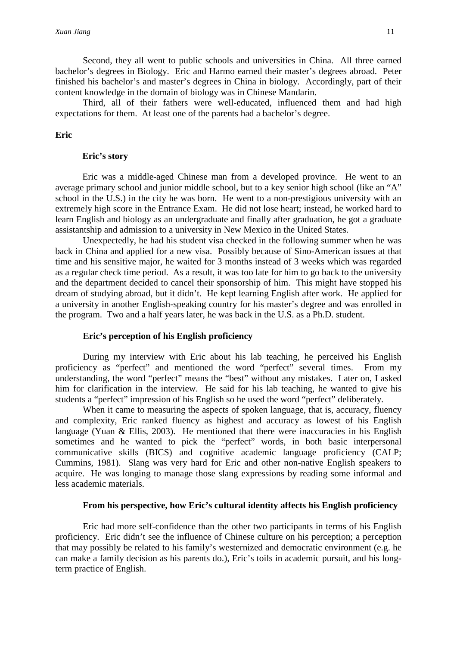Second, they all went to public schools and universities in China. All three earned bachelor's degrees in Biology. Eric and Harmo earned their master's degrees abroad. Peter finished his bachelor's and master's degrees in China in biology. Accordingly, part of their content knowledge in the domain of biology was in Chinese Mandarin.

Third, all of their fathers were well-educated, influenced them and had high expectations for them. At least one of the parents had a bachelor's degree.

# **Eric**

#### **Eric's story**

Eric was a middle-aged Chinese man from a developed province. He went to an average primary school and junior middle school, but to a key senior high school (like an "A" school in the U.S.) in the city he was born. He went to a non-prestigious university with an extremely high score in the Entrance Exam. He did not lose heart; instead, he worked hard to learn English and biology as an undergraduate and finally after graduation, he got a graduate assistantship and admission to a university in New Mexico in the United States.

Unexpectedly, he had his student visa checked in the following summer when he was back in China and applied for a new visa. Possibly because of Sino-American issues at that time and his sensitive major, he waited for 3 months instead of 3 weeks which was regarded as a regular check time period. As a result, it was too late for him to go back to the university and the department decided to cancel their sponsorship of him. This might have stopped his dream of studying abroad, but it didn't. He kept learning English after work. He applied for a university in another English-speaking country for his master's degree and was enrolled in the program. Two and a half years later, he was back in the U.S. as a Ph.D. student.

## **Eric's perception of his English proficiency**

During my interview with Eric about his lab teaching, he perceived his English proficiency as "perfect" and mentioned the word "perfect" several times. From my understanding, the word "perfect" means the "best" without any mistakes. Later on, I asked him for clarification in the interview. He said for his lab teaching, he wanted to give his students a "perfect" impression of his English so he used the word "perfect" deliberately.

When it came to measuring the aspects of spoken language, that is, accuracy, fluency and complexity, Eric ranked fluency as highest and accuracy as lowest of his English language (Yuan  $\&$  Ellis, 2003). He mentioned that there were inaccuracies in his English sometimes and he wanted to pick the "perfect" words, in both basic interpersonal communicative skills (BICS) and cognitive academic language proficiency (CALP; Cummins, 1981). Slang was very hard for Eric and other non-native English speakers to acquire. He was longing to manage those slang expressions by reading some informal and less academic materials.

## **From his perspective, how Eric's cultural identity affects his English proficiency**

Eric had more self-confidence than the other two participants in terms of his English proficiency. Eric didn't see the influence of Chinese culture on his perception; a perception that may possibly be related to his family's westernized and democratic environment (e.g. he can make a family decision as his parents do.), Eric's toils in academic pursuit, and his longterm practice of English.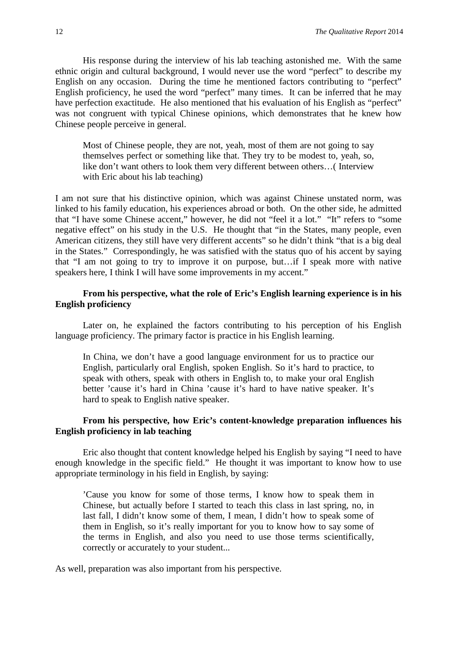His response during the interview of his lab teaching astonished me. With the same ethnic origin and cultural background, I would never use the word "perfect" to describe my English on any occasion. During the time he mentioned factors contributing to "perfect" English proficiency, he used the word "perfect" many times. It can be inferred that he may have perfection exactitude. He also mentioned that his evaluation of his English as "perfect" was not congruent with typical Chinese opinions, which demonstrates that he knew how Chinese people perceive in general.

Most of Chinese people, they are not, yeah, most of them are not going to say themselves perfect or something like that. They try to be modest to, yeah, so, like don't want others to look them very different between others…( Interview with Eric about his lab teaching)

I am not sure that his distinctive opinion, which was against Chinese unstated norm, was linked to his family education, his experiences abroad or both. On the other side, he admitted that "I have some Chinese accent," however, he did not "feel it a lot." "It" refers to "some negative effect" on his study in the U.S. He thought that "in the States, many people, even American citizens, they still have very different accents" so he didn't think "that is a big deal in the States." Correspondingly, he was satisfied with the status quo of his accent by saying that "I am not going to try to improve it on purpose, but…if I speak more with native speakers here, I think I will have some improvements in my accent."

# **From his perspective, what the role of Eric's English learning experience is in his English proficiency**

Later on, he explained the factors contributing to his perception of his English language proficiency. The primary factor is practice in his English learning.

In China, we don't have a good language environment for us to practice our English, particularly oral English, spoken English. So it's hard to practice, to speak with others, speak with others in English to, to make your oral English better 'cause it's hard in China 'cause it's hard to have native speaker. It's hard to speak to English native speaker.

# **From his perspective, how Eric's content-knowledge preparation influences his English proficiency in lab teaching**

Eric also thought that content knowledge helped his English by saying "I need to have enough knowledge in the specific field." He thought it was important to know how to use appropriate terminology in his field in English, by saying:

'Cause you know for some of those terms, I know how to speak them in Chinese, but actually before I started to teach this class in last spring, no, in last fall, I didn't know some of them, I mean, I didn't how to speak some of them in English, so it's really important for you to know how to say some of the terms in English, and also you need to use those terms scientifically, correctly or accurately to your student...

As well, preparation was also important from his perspective.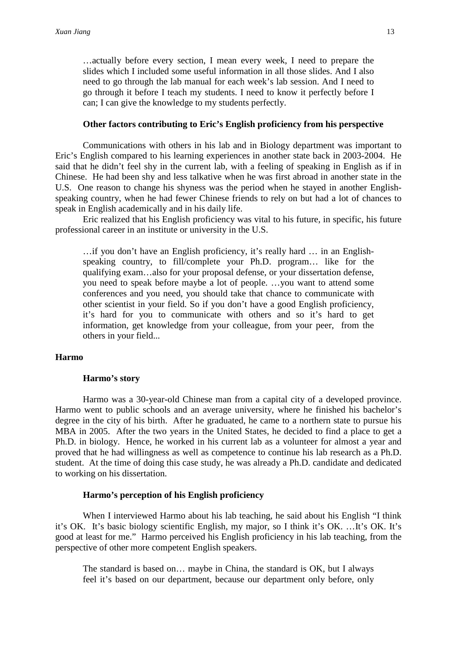…actually before every section, I mean every week, I need to prepare the slides which I included some useful information in all those slides. And I also need to go through the lab manual for each week's lab session. And I need to go through it before I teach my students. I need to know it perfectly before I can; I can give the knowledge to my students perfectly.

#### **Other factors contributing to Eric's English proficiency from his perspective**

Communications with others in his lab and in Biology department was important to Eric's English compared to his learning experiences in another state back in 2003-2004. He said that he didn't feel shy in the current lab, with a feeling of speaking in English as if in Chinese. He had been shy and less talkative when he was first abroad in another state in the U.S. One reason to change his shyness was the period when he stayed in another Englishspeaking country, when he had fewer Chinese friends to rely on but had a lot of chances to speak in English academically and in his daily life.

Eric realized that his English proficiency was vital to his future, in specific, his future professional career in an institute or university in the U.S.

…if you don't have an English proficiency, it's really hard … in an Englishspeaking country, to fill/complete your Ph.D. program… like for the qualifying exam…also for your proposal defense, or your dissertation defense, you need to speak before maybe a lot of people. …you want to attend some conferences and you need, you should take that chance to communicate with other scientist in your field. So if you don't have a good English proficiency, it's hard for you to communicate with others and so it's hard to get information, get knowledge from your colleague, from your peer, from the others in your field...

#### **Harmo**

#### **Harmo's story**

Harmo was a 30-year-old Chinese man from a capital city of a developed province. Harmo went to public schools and an average university, where he finished his bachelor's degree in the city of his birth. After he graduated, he came to a northern state to pursue his MBA in 2005. After the two years in the United States, he decided to find a place to get a Ph.D. in biology. Hence, he worked in his current lab as a volunteer for almost a year and proved that he had willingness as well as competence to continue his lab research as a Ph.D. student. At the time of doing this case study, he was already a Ph.D. candidate and dedicated to working on his dissertation.

# **Harmo's perception of his English proficiency**

When I interviewed Harmo about his lab teaching, he said about his English "I think it's OK. It's basic biology scientific English, my major, so I think it's OK. …It's OK. It's good at least for me." Harmo perceived his English proficiency in his lab teaching, from the perspective of other more competent English speakers.

The standard is based on… maybe in China, the standard is OK, but I always feel it's based on our department, because our department only before, only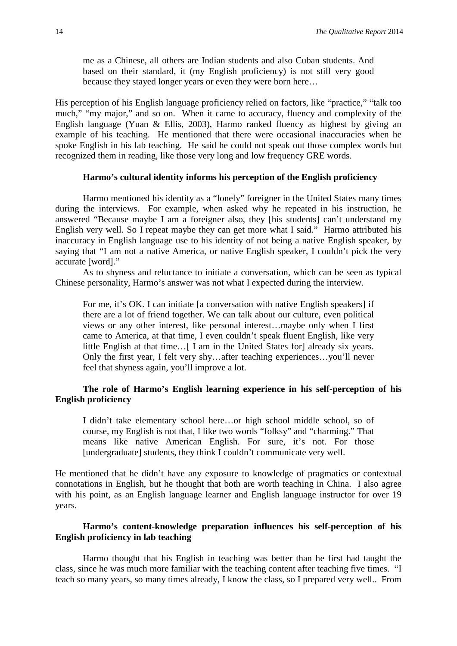me as a Chinese, all others are Indian students and also Cuban students. And based on their standard, it (my English proficiency) is not still very good because they stayed longer years or even they were born here…

His perception of his English language proficiency relied on factors, like "practice," "talk too much," "my major," and so on. When it came to accuracy, fluency and complexity of the English language (Yuan & Ellis, 2003), Harmo ranked fluency as highest by giving an example of his teaching. He mentioned that there were occasional inaccuracies when he spoke English in his lab teaching. He said he could not speak out those complex words but recognized them in reading, like those very long and low frequency GRE words.

# **Harmo's cultural identity informs his perception of the English proficiency**

Harmo mentioned his identity as a "lonely" foreigner in the United States many times during the interviews. For example, when asked why he repeated in his instruction, he answered "Because maybe I am a foreigner also, they [his students] can't understand my English very well. So I repeat maybe they can get more what I said." Harmo attributed his inaccuracy in English language use to his identity of not being a native English speaker, by saying that "I am not a native America, or native English speaker, I couldn't pick the very accurate [word]."

As to shyness and reluctance to initiate a conversation, which can be seen as typical Chinese personality, Harmo's answer was not what I expected during the interview.

For me, it's OK. I can initiate [a conversation with native English speakers] if there are a lot of friend together. We can talk about our culture, even political views or any other interest, like personal interest…maybe only when I first came to America, at that time, I even couldn't speak fluent English, like very little English at that time…[ I am in the United States for] already six years. Only the first year, I felt very shy…after teaching experiences…you'll never feel that shyness again, you'll improve a lot.

# **The role of Harmo's English learning experience in his self-perception of his English proficiency**

I didn't take elementary school here…or high school middle school, so of course, my English is not that, I like two words "folksy" and "charming." That means like native American English. For sure, it's not. For those [undergraduate] students, they think I couldn't communicate very well.

He mentioned that he didn't have any exposure to knowledge of pragmatics or contextual connotations in English, but he thought that both are worth teaching in China. I also agree with his point, as an English language learner and English language instructor for over 19 years.

# **Harmo's content-knowledge preparation influences his self-perception of his English proficiency in lab teaching**

Harmo thought that his English in teaching was better than he first had taught the class, since he was much more familiar with the teaching content after teaching five times. "I teach so many years, so many times already, I know the class, so I prepared very well.. From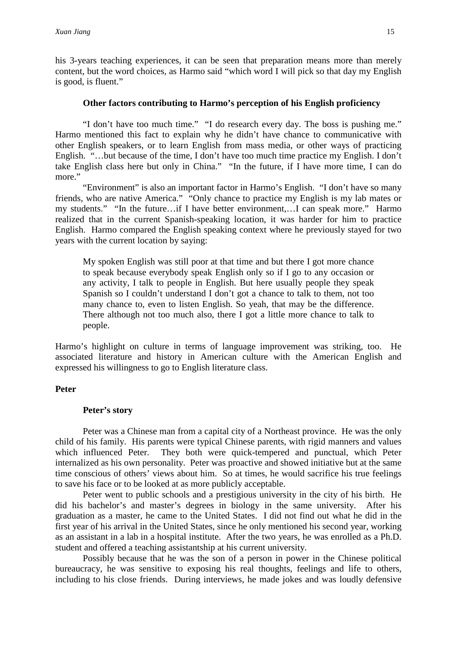his 3-years teaching experiences, it can be seen that preparation means more than merely content, but the word choices, as Harmo said "which word I will pick so that day my English is good, is fluent."

#### **Other factors contributing to Harmo's perception of his English proficiency**

"I don't have too much time." "I do research every day. The boss is pushing me." Harmo mentioned this fact to explain why he didn't have chance to communicative with other English speakers, or to learn English from mass media, or other ways of practicing English. "…but because of the time, I don't have too much time practice my English. I don't take English class here but only in China." "In the future, if I have more time, I can do more."

"Environment" is also an important factor in Harmo's English. "I don't have so many friends, who are native America." "Only chance to practice my English is my lab mates or my students." "In the future…if I have better environment,…I can speak more." Harmo realized that in the current Spanish-speaking location, it was harder for him to practice English. Harmo compared the English speaking context where he previously stayed for two years with the current location by saying:

My spoken English was still poor at that time and but there I got more chance to speak because everybody speak English only so if I go to any occasion or any activity, I talk to people in English. But here usually people they speak Spanish so I couldn't understand I don't got a chance to talk to them, not too many chance to, even to listen English. So yeah, that may be the difference. There although not too much also, there I got a little more chance to talk to people.

Harmo's highlight on culture in terms of language improvement was striking, too. He associated literature and history in American culture with the American English and expressed his willingness to go to English literature class.

# **Peter**

### **Peter's story**

Peter was a Chinese man from a capital city of a Northeast province. He was the only child of his family. His parents were typical Chinese parents, with rigid manners and values which influenced Peter. They both were quick-tempered and punctual, which Peter internalized as his own personality. Peter was proactive and showed initiative but at the same time conscious of others' views about him. So at times, he would sacrifice his true feelings to save his face or to be looked at as more publicly acceptable.

Peter went to public schools and a prestigious university in the city of his birth. He did his bachelor's and master's degrees in biology in the same university. After his graduation as a master, he came to the United States. I did not find out what he did in the first year of his arrival in the United States, since he only mentioned his second year, working as an assistant in a lab in a hospital institute. After the two years, he was enrolled as a Ph.D. student and offered a teaching assistantship at his current university.

Possibly because that he was the son of a person in power in the Chinese political bureaucracy, he was sensitive to exposing his real thoughts, feelings and life to others, including to his close friends. During interviews, he made jokes and was loudly defensive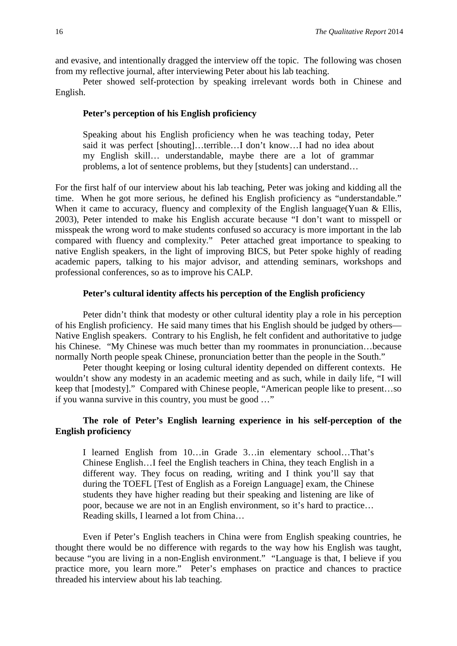and evasive, and intentionally dragged the interview off the topic. The following was chosen from my reflective journal, after interviewing Peter about his lab teaching.

Peter showed self-protection by speaking irrelevant words both in Chinese and English.

# **Peter's perception of his English proficiency**

Speaking about his English proficiency when he was teaching today, Peter said it was perfect [shouting]…terrible…I don't know…I had no idea about my English skill… understandable, maybe there are a lot of grammar problems, a lot of sentence problems, but they [students] can understand…

For the first half of our interview about his lab teaching, Peter was joking and kidding all the time. When he got more serious, he defined his English proficiency as "understandable." When it came to accuracy, fluency and complexity of the English language(Yuan & Ellis, 2003), Peter intended to make his English accurate because "I don't want to misspell or misspeak the wrong word to make students confused so accuracy is more important in the lab compared with fluency and complexity." Peter attached great importance to speaking to native English speakers, in the light of improving BICS, but Peter spoke highly of reading academic papers, talking to his major advisor, and attending seminars, workshops and professional conferences, so as to improve his CALP.

# **Peter's cultural identity affects his perception of the English proficiency**

Peter didn't think that modesty or other cultural identity play a role in his perception of his English proficiency. He said many times that his English should be judged by others— Native English speakers. Contrary to his English, he felt confident and authoritative to judge his Chinese. "My Chinese was much better than my roommates in pronunciation...because normally North people speak Chinese, pronunciation better than the people in the South."

Peter thought keeping or losing cultural identity depended on different contexts. He wouldn't show any modesty in an academic meeting and as such, while in daily life, "I will keep that [modesty]." Compared with Chinese people, "American people like to present…so if you wanna survive in this country, you must be good …"

# **The role of Peter's English learning experience in his self-perception of the English proficiency**

I learned English from 10…in Grade 3…in elementary school…That's Chinese English…I feel the English teachers in China, they teach English in a different way. They focus on reading, writing and I think you'll say that during the TOEFL [Test of English as a Foreign Language] exam, the Chinese students they have higher reading but their speaking and listening are like of poor, because we are not in an English environment, so it's hard to practice… Reading skills, I learned a lot from China…

Even if Peter's English teachers in China were from English speaking countries, he thought there would be no difference with regards to the way how his English was taught, because "you are living in a non-English environment." "Language is that, I believe if you practice more, you learn more." Peter's emphases on practice and chances to practice threaded his interview about his lab teaching.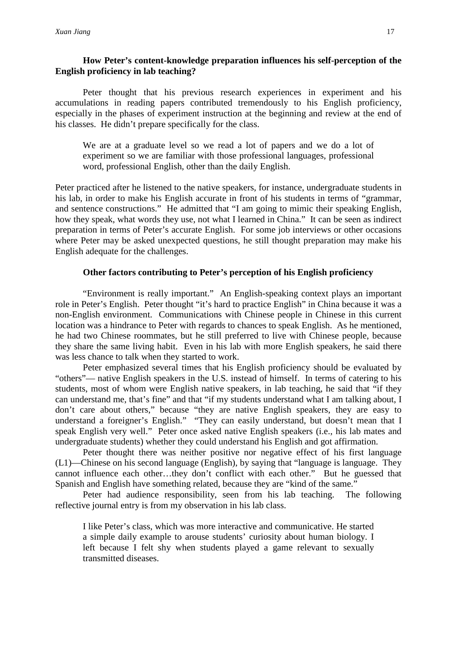# **How Peter's content-knowledge preparation influences his self-perception of the English proficiency in lab teaching?**

Peter thought that his previous research experiences in experiment and his accumulations in reading papers contributed tremendously to his English proficiency, especially in the phases of experiment instruction at the beginning and review at the end of his classes. He didn't prepare specifically for the class.

We are at a graduate level so we read a lot of papers and we do a lot of experiment so we are familiar with those professional languages, professional word, professional English, other than the daily English.

Peter practiced after he listened to the native speakers, for instance, undergraduate students in his lab, in order to make his English accurate in front of his students in terms of "grammar, and sentence constructions." He admitted that "I am going to mimic their speaking English, how they speak, what words they use, not what I learned in China." It can be seen as indirect preparation in terms of Peter's accurate English. For some job interviews or other occasions where Peter may be asked unexpected questions, he still thought preparation may make his English adequate for the challenges.

# **Other factors contributing to Peter's perception of his English proficiency**

"Environment is really important." An English-speaking context plays an important role in Peter's English. Peter thought "it's hard to practice English" in China because it was a non-English environment. Communications with Chinese people in Chinese in this current location was a hindrance to Peter with regards to chances to speak English. As he mentioned, he had two Chinese roommates, but he still preferred to live with Chinese people, because they share the same living habit. Even in his lab with more English speakers, he said there was less chance to talk when they started to work.

Peter emphasized several times that his English proficiency should be evaluated by "others"— native English speakers in the U.S. instead of himself. In terms of catering to his students, most of whom were English native speakers, in lab teaching, he said that "if they can understand me, that's fine" and that "if my students understand what I am talking about, I don't care about others," because "they are native English speakers, they are easy to understand a foreigner's English." "They can easily understand, but doesn't mean that I speak English very well." Peter once asked native English speakers (i.e., his lab mates and undergraduate students) whether they could understand his English and got affirmation.

Peter thought there was neither positive nor negative effect of his first language (L1)—Chinese on his second language (English), by saying that "language is language. They cannot influence each other…they don't conflict with each other." But he guessed that Spanish and English have something related, because they are "kind of the same."

Peter had audience responsibility, seen from his lab teaching. The following reflective journal entry is from my observation in his lab class.

I like Peter's class, which was more interactive and communicative. He started a simple daily example to arouse students' curiosity about human biology. I left because I felt shy when students played a game relevant to sexually transmitted diseases.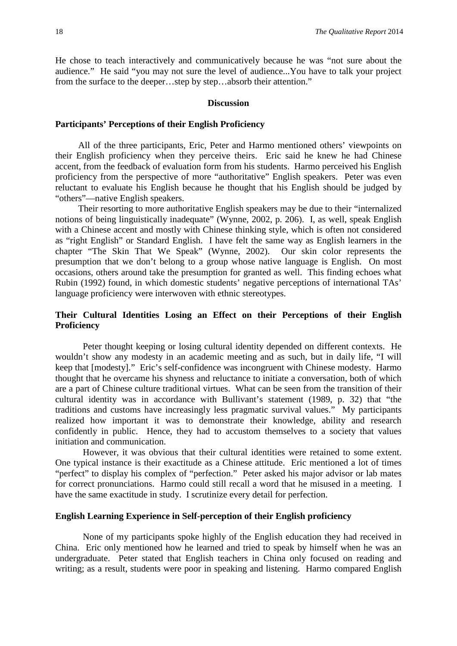He chose to teach interactively and communicatively because he was "not sure about the audience." He said "you may not sure the level of audience...You have to talk your project from the surface to the deeper…step by step…absorb their attention."

#### **Discussion**

# **Participants' Perceptions of their English Proficiency**

All of the three participants, Eric, Peter and Harmo mentioned others' viewpoints on their English proficiency when they perceive theirs. Eric said he knew he had Chinese accent, from the feedback of evaluation form from his students. Harmo perceived his English proficiency from the perspective of more "authoritative" English speakers. Peter was even reluctant to evaluate his English because he thought that his English should be judged by "others"—native English speakers.

Their resorting to more authoritative English speakers may be due to their "internalized notions of being linguistically inadequate" (Wynne, 2002, p. 206). I, as well, speak English with a Chinese accent and mostly with Chinese thinking style, which is often not considered as "right English" or Standard English. I have felt the same way as English learners in the chapter "The Skin That We Speak" (Wynne, 2002). Our skin color represents the presumption that we don't belong to a group whose native language is English. On most occasions, others around take the presumption for granted as well. This finding echoes what Rubin (1992) found, in which domestic students' negative perceptions of international TAs' language proficiency were interwoven with ethnic stereotypes.

# **Their Cultural Identities Losing an Effect on their Perceptions of their English Proficiency**

Peter thought keeping or losing cultural identity depended on different contexts. He wouldn't show any modesty in an academic meeting and as such, but in daily life, "I will keep that [modesty]." Eric's self-confidence was incongruent with Chinese modesty. Harmo thought that he overcame his shyness and reluctance to initiate a conversation, both of which are a part of Chinese culture traditional virtues. What can be seen from the transition of their cultural identity was in accordance with Bullivant's statement (1989, p. 32) that "the traditions and customs have increasingly less pragmatic survival values." My participants realized how important it was to demonstrate their knowledge, ability and research confidently in public. Hence, they had to accustom themselves to a society that values initiation and communication.

However, it was obvious that their cultural identities were retained to some extent. One typical instance is their exactitude as a Chinese attitude. Eric mentioned a lot of times "perfect" to display his complex of "perfection." Peter asked his major advisor or lab mates for correct pronunciations. Harmo could still recall a word that he misused in a meeting. I have the same exactitude in study. I scrutinize every detail for perfection.

# **English Learning Experience in Self-perception of their English proficiency**

None of my participants spoke highly of the English education they had received in China. Eric only mentioned how he learned and tried to speak by himself when he was an undergraduate. Peter stated that English teachers in China only focused on reading and writing; as a result, students were poor in speaking and listening. Harmo compared English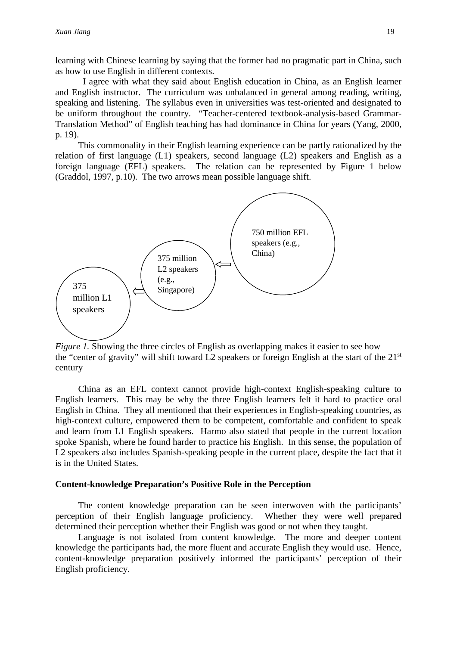learning with Chinese learning by saying that the former had no pragmatic part in China, such as how to use English in different contexts.

I agree with what they said about English education in China, as an English learner and English instructor. The curriculum was unbalanced in general among reading, writing, speaking and listening. The syllabus even in universities was test-oriented and designated to be uniform throughout the country. "Teacher-centered textbook-analysis-based Grammar-Translation Method" of English teaching has had dominance in China for years (Yang, 2000, p. 19).

This commonality in their English learning experience can be partly rationalized by the relation of first language (L1) speakers, second language (L2) speakers and English as a foreign language (EFL) speakers. The relation can be represented by Figure 1 below (Graddol, 1997, p.10). The two arrows mean possible language shift.



*Figure 1.* Showing the three circles of English as overlapping makes it easier to see how the "center of gravity" will shift toward L2 speakers or foreign English at the start of the 21<sup>st</sup> century

China as an EFL context cannot provide high-context English-speaking culture to English learners. This may be why the three English learners felt it hard to practice oral English in China. They all mentioned that their experiences in English-speaking countries, as high-context culture, empowered them to be competent, comfortable and confident to speak and learn from L1 English speakers. Harmo also stated that people in the current location spoke Spanish, where he found harder to practice his English. In this sense, the population of L2 speakers also includes Spanish-speaking people in the current place, despite the fact that it is in the United States.

#### **Content-knowledge Preparation's Positive Role in the Perception**

The content knowledge preparation can be seen interwoven with the participants' perception of their English language proficiency. Whether they were well prepared determined their perception whether their English was good or not when they taught.

Language is not isolated from content knowledge. The more and deeper content knowledge the participants had, the more fluent and accurate English they would use. Hence, content-knowledge preparation positively informed the participants' perception of their English proficiency.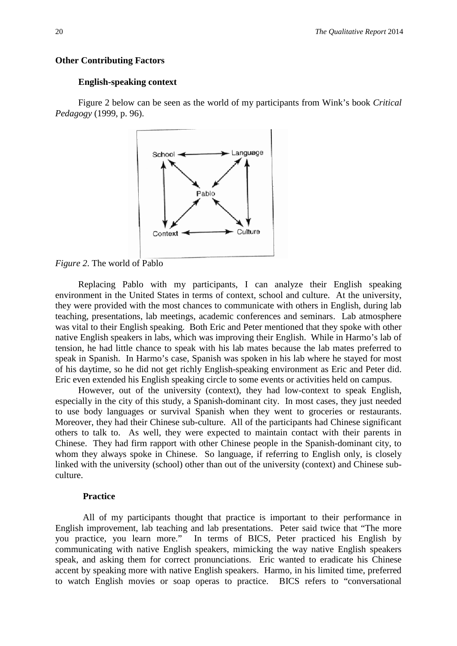## **Other Contributing Factors**

### **English-speaking context**

Figure 2 below can be seen as the world of my participants from Wink's book *Critical Pedagogy* (1999, p. 96).



*Figure 2*. The world of Pablo

Replacing Pablo with my participants, I can analyze their English speaking environment in the United States in terms of context, school and culture. At the university, they were provided with the most chances to communicate with others in English, during lab teaching, presentations, lab meetings, academic conferences and seminars. Lab atmosphere was vital to their English speaking. Both Eric and Peter mentioned that they spoke with other native English speakers in labs, which was improving their English. While in Harmo's lab of tension, he had little chance to speak with his lab mates because the lab mates preferred to speak in Spanish. In Harmo's case, Spanish was spoken in his lab where he stayed for most of his daytime, so he did not get richly English-speaking environment as Eric and Peter did. Eric even extended his English speaking circle to some events or activities held on campus.

However, out of the university (context), they had low-context to speak English, especially in the city of this study, a Spanish-dominant city. In most cases, they just needed to use body languages or survival Spanish when they went to groceries or restaurants. Moreover, they had their Chinese sub-culture. All of the participants had Chinese significant others to talk to. As well, they were expected to maintain contact with their parents in Chinese. They had firm rapport with other Chinese people in the Spanish-dominant city, to whom they always spoke in Chinese. So language, if referring to English only, is closely linked with the university (school) other than out of the university (context) and Chinese subculture.

#### **Practice**

All of my participants thought that practice is important to their performance in English improvement, lab teaching and lab presentations. Peter said twice that "The more you practice, you learn more." In terms of BICS, Peter practiced his English by communicating with native English speakers, mimicking the way native English speakers speak, and asking them for correct pronunciations. Eric wanted to eradicate his Chinese accent by speaking more with native English speakers. Harmo, in his limited time, preferred to watch English movies or soap operas to practice. BICS refers to "conversational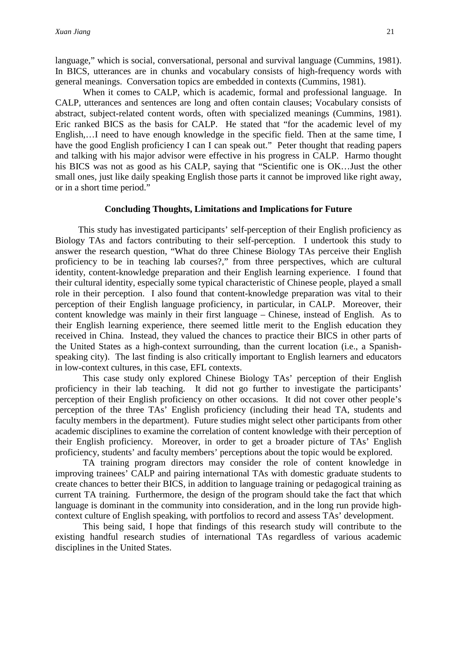language," which is social, conversational, personal and survival language (Cummins, 1981). In BICS, utterances are in chunks and vocabulary consists of high-frequency words with general meanings. Conversation topics are embedded in contexts (Cummins, 1981).

When it comes to CALP, which is academic, formal and professional language. In CALP, utterances and sentences are long and often contain clauses; Vocabulary consists of abstract, subject-related content words, often with specialized meanings (Cummins, 1981). Eric ranked BICS as the basis for CALP. He stated that "for the academic level of my English,…I need to have enough knowledge in the specific field. Then at the same time, I have the good English proficiency I can I can speak out." Peter thought that reading papers and talking with his major advisor were effective in his progress in CALP. Harmo thought his BICS was not as good as his CALP, saying that "Scientific one is OK…Just the other small ones, just like daily speaking English those parts it cannot be improved like right away, or in a short time period."

# **Concluding Thoughts, Limitations and Implications for Future**

This study has investigated participants' self-perception of their English proficiency as Biology TAs and factors contributing to their self-perception. I undertook this study to answer the research question, "What do three Chinese Biology TAs perceive their English proficiency to be in teaching lab courses?," from three perspectives, which are cultural identity, content-knowledge preparation and their English learning experience. I found that their cultural identity, especially some typical characteristic of Chinese people, played a small role in their perception. I also found that content-knowledge preparation was vital to their perception of their English language proficiency, in particular, in CALP. Moreover, their content knowledge was mainly in their first language – Chinese, instead of English. As to their English learning experience, there seemed little merit to the English education they received in China. Instead, they valued the chances to practice their BICS in other parts of the United States as a high-context surrounding, than the current location (i.e., a Spanishspeaking city). The last finding is also critically important to English learners and educators in low-context cultures, in this case, EFL contexts.

This case study only explored Chinese Biology TAs' perception of their English proficiency in their lab teaching. It did not go further to investigate the participants' perception of their English proficiency on other occasions. It did not cover other people's perception of the three TAs' English proficiency (including their head TA, students and faculty members in the department). Future studies might select other participants from other academic disciplines to examine the correlation of content knowledge with their perception of their English proficiency. Moreover, in order to get a broader picture of TAs' English proficiency, students' and faculty members' perceptions about the topic would be explored.

TA training program directors may consider the role of content knowledge in improving trainees' CALP and pairing international TAs with domestic graduate students to create chances to better their BICS, in addition to language training or pedagogical training as current TA training. Furthermore, the design of the program should take the fact that which language is dominant in the community into consideration, and in the long run provide highcontext culture of English speaking, with portfolios to record and assess TAs' development.

This being said, I hope that findings of this research study will contribute to the existing handful research studies of international TAs regardless of various academic disciplines in the United States.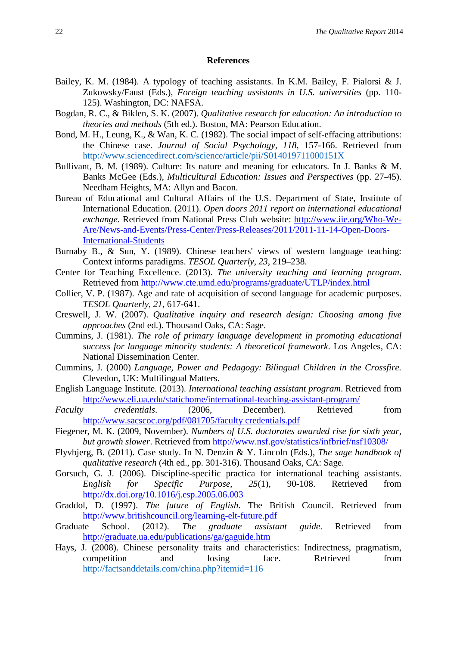#### **References**

- Bailey, K. M. (1984). A typology of teaching assistants. In K.M. Bailey, F. Pialorsi & J. Zukowsky/Faust (Eds.), *Foreign teaching assistants in U.S. universities* (pp. 110- 125). Washington, DC: NAFSA.
- Bogdan, R. C., & Biklen, S. K. (2007). *Qualitative research for education: An introduction to theories and methods* (5th ed.). Boston, MA: Pearson Education.
- Bond, M. H., Leung, K., & Wan, K. C. (1982). The social impact of self-effacing attributions: the Chinese case. *Journal of Social Psychology*, *118*, 157-166. Retrieved from <http://www.sciencedirect.com/science/article/pii/S014019711000151X>
- Bullivant, B. M. (1989). Culture: Its nature and meaning for educators. In J. Banks & M. Banks McGee (Eds.), *Multicultural Education: Issues and Perspectives* (pp. 27-45). Needham Heights, MA: Allyn and Bacon.
- Bureau of Educational and Cultural Affairs of the U.S. Department of State, Institute of International Education. (2011). *Open doors 2011 report on international educational exchange.* Retrieved from National Press Club website: [http://www.iie.org/Who-We-](http://www.iie.org/Who-We-Are/News-and-Events/Press-Center/Press-Releases/2011/2011-11-14-Open-Doors-International-Students)[Are/News-and-Events/Press-Center/Press-Releases/2011/2011-11-14-Open-Doors-](http://www.iie.org/Who-We-Are/News-and-Events/Press-Center/Press-Releases/2011/2011-11-14-Open-Doors-International-Students)[International-Students](http://www.iie.org/Who-We-Are/News-and-Events/Press-Center/Press-Releases/2011/2011-11-14-Open-Doors-International-Students)
- Burnaby B., & Sun, Y. (1989). Chinese teachers' views of western language teaching: Context informs paradigms. *TESOL Quarterly*, *23*, 219–238.
- Center for Teaching Excellence. (2013). *The university teaching and learning program*. Retrieved from<http://www.cte.umd.edu/programs/graduate/UTLP/index.html>
- Collier, V. P. (1987). Age and rate of acquisition of second language for academic purposes. *TESOL Quarterly*, *21*, 617-641.
- Creswell, J. W. (2007). *Qualitative inquiry and research design: Choosing among five approaches* (2nd ed.). Thousand Oaks, CA: Sage.
- Cummins, J. (1981). *The role of primary language development in promoting educational success for language minority students: A theoretical framework*. Los Angeles, CA: National Dissemination Center.
- Cummins, J. (2000) *Language, Power and Pedagogy: Bilingual Children in the Crossfire.* Clevedon, UK: Multilingual Matters.
- English Language Institute. (2013). *International teaching assistant program*. Retrieved from <http://www.eli.ua.edu/statichome/international-teaching-assistant-program/>
- *Faculty credentials*. (2006, December). Retrieved from [http://www.sacscoc.org/pdf/081705/faculty credentials.pdf](http://www.sacscoc.org/pdf/081705/faculty%20credentials.pdf)
- Fiegener, M. K. (2009, November). *Numbers of U.S. doctorates awarded rise for sixth year, but growth slower*. Retrieved from http://www.nsf.gov/statistics/infbrief/nsf10308/
- Flyvbjerg, B. (2011). Case study. In N. Denzin & Y. Lincoln (Eds.), *The sage handbook of qualitative research* (4th ed., pp. 301-316). Thousand Oaks, CA: Sage.
- Gorsuch, G. J. (2006). Discipline-specific practica for international teaching assistants. *English for Specific Purpose*, *25*(1), 90-108. Retrieved from <http://dx.doi.org/10.1016/j.esp.2005.06.003>
- Graddol, D. (1997). *The future of English*. The British Council. Retrieved from <http://www.britishcouncil.org/learning-elt-future.pdf>
- Graduate School. (2012). *The graduate assistant guide*. Retrieved from <http://graduate.ua.edu/publications/ga/gaguide.htm>
- Hays, J. (2008). Chinese personality traits and characteristics: Indirectness, pragmatism, competition and losing face. Retrieved from <http://factsanddetails.com/china.php?itemid=116>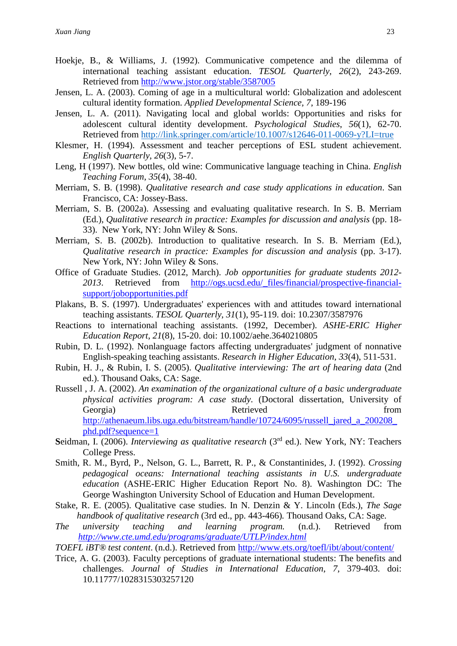- Hoekje, B., & Williams, J. (1992). Communicative competence and the dilemma of international teaching assistant education. *TESOL Quarterly*, *26*(2), 243-269. Retrieved from<http://www.jstor.org/stable/3587005>
- Jensen, L. A. (2003). Coming of age in a multicultural world: Globalization and adolescent cultural identity formation. *Applied Developmental Science, 7*, 189-196
- Jensen, L. A. (2011). Navigating local and global worlds: Opportunities and risks for adolescent cultural identity development. *Psychological Studies*, *56*(1), 62-70. Retrieved from<http://link.springer.com/article/10.1007/s12646-011-0069-y?LI=true>
- Klesmer, H. (1994). Assessment and teacher perceptions of ESL student achievement. *English Quarterly*, *26*(3), 5-7.
- Leng, H (1997). New bottles, old wine: Communicative language teaching in China. *English Teaching Forum*, *35*(4), 38-40.
- Merriam, S. B. (1998). *Qualitative research and case study applications in education*. San Francisco, CA: Jossey-Bass.
- Merriam, S. B. (2002a). Assessing and evaluating qualitative research. In S. B. Merriam (Ed.), *Qualitative research in practice: Examples for discussion and analysis* (pp. 18- 33). New York, NY: John Wiley & Sons.
- Merriam, S. B. (2002b). Introduction to qualitative research. In S. B. Merriam (Ed.), *Qualitative research in practice: Examples for discussion and analysis* (pp. 3-17). New York, NY: John Wiley & Sons.
- Office of Graduate Studies. (2012, March). *Job opportunities for graduate students 2012- 2013*. Retrieved from [http://ogs.ucsd.edu/\\_files/financial/prospective-financial](http://ogs.ucsd.edu/_files/financial/prospective-financial-support/jobopportunities.pdf)[support/jobopportunities.pdf](http://ogs.ucsd.edu/_files/financial/prospective-financial-support/jobopportunities.pdf)
- Plakans, B. S. (1997). Undergraduates' experiences with and attitudes toward international teaching assistants. *TESOL Quarterly*, *31*(1), 95-119. doi: 10.2307/3587976
- Reactions to international teaching assistants. (1992, December). *ASHE-ERIC Higher Education Report*, *21*(8), 15-20. doi: 10.1002/aehe.3640210805
- Rubin, D. L. (1992). Nonlanguage factors affecting undergraduates' judgment of nonnative English-speaking teaching assistants. *Research in Higher Education*, *33*(4), 511-531.
- Rubin, H. J., & Rubin, I. S. (2005). *Qualitative interviewing: The art of hearing data* (2nd ed.). Thousand Oaks, CA: Sage.
- Russell , J. A. (2002). *An examination of the organizational culture of a basic undergraduate physical activities program: A case study*. (Doctoral dissertation, University of Georgia) Retrieved From Retrieved From Retrieved From  $\mathbb{R}$ [http://athenaeum.libs.uga.edu/bitstream/handle/10724/6095/russell\\_jared\\_a\\_200208\\_](http://athenaeum.libs.uga.edu/bitstream/handle/10724/6095/russell_jared_a_200208_phd.pdf?sequence=1) [phd.pdf?sequence=1](http://athenaeum.libs.uga.edu/bitstream/handle/10724/6095/russell_jared_a_200208_phd.pdf?sequence=1)
- **S**eidman, I. (2006). *Interviewing as qualitative research* (3rd ed.). New York, NY: Teachers College Press.
- Smith, R. M., Byrd, P., Nelson, G. L., Barrett, R. P., & Constantinides, J. (1992). *Crossing pedagogical oceans: International teaching assistants in U.S. undergraduate education* (ASHE-ERIC Higher Education Report No. 8). Washington DC: The George Washington University School of Education and Human Development.
- Stake, R. E. (2005). Qualitative case studies. In N. Denzin & Y. Lincoln (Eds.), *The Sage handbook of qualitative research* (3rd ed., pp. 443-466)*.* Thousand Oaks, CA: Sage.
- *The university teaching and learning program.* (n.d.). Retrieved from *<http://www.cte.umd.edu/programs/graduate/UTLP/index.html>*
- *TOEFL iBT® test content*. (n.d.). Retrieved from<http://www.ets.org/toefl/ibt/about/content/>
- Trice, A. G. (2003). Faculty perceptions of graduate international students: The benefits and challenges. *Journal of Studies in International Education*, *7*, 379-403. doi: 10.11777/1028315303257120